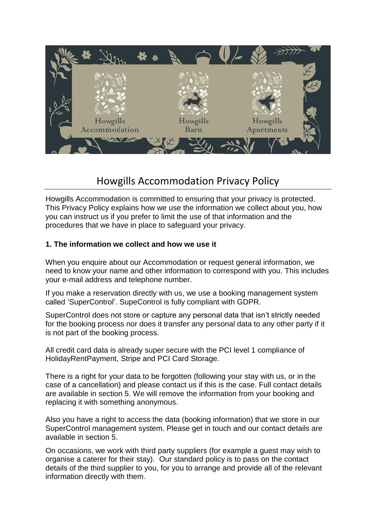

# Howgills Accommodation Privacy Policy

Howgills Accommodation is committed to ensuring that your privacy is protected. This Privacy Policy explains how we use the information we collect about you, how you can instruct us if you prefer to limit the use of that information and the procedures that we have in place to safeguard your privacy.

### **1. The information we collect and how we use it**

When you enquire about our Accommodation or request general information, we need to know your name and other information to correspond with you. This includes your e-mail address and telephone number.

If you make a reservation directly with us, we use a booking management system called 'SuperControl'. SupeControl is fully compliant with GDPR.

SuperControl does not store or capture any personal data that isn't strictly needed for the booking process nor does it transfer any personal data to any other party if it is not part of the booking process.

All credit card data is already super secure with the PCI level 1 compliance of HolidayRentPayment, Stripe and PCI Card Storage.

There is a right for your data to be forgotten (following your stay with us, or in the case of a cancellation) and please contact us if this is the case. Full contact details are available in section 5. We will remove the information from your booking and replacing it with something anonymous.

Also you have a right to access the data (booking information) that we store in our SuperControl management system. Please get in touch and our contact details are available in section 5.

On occasions, we work with third party suppliers (for example a guest may wish to organise a caterer for their stay). Our standard policy is to pass on the contact details of the third supplier to you, for you to arrange and provide all of the relevant information directly with them.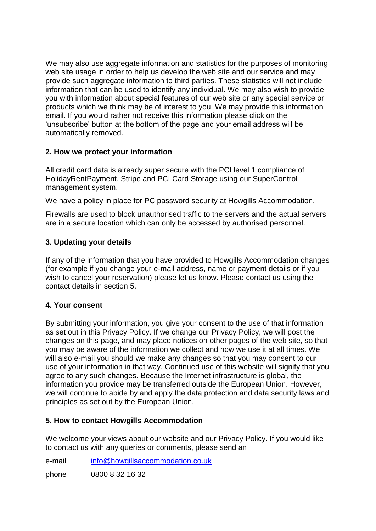We may also use aggregate information and statistics for the purposes of monitoring web site usage in order to help us develop the web site and our service and may provide such aggregate information to third parties. These statistics will not include information that can be used to identify any individual. We may also wish to provide you with information about special features of our web site or any special service or products which we think may be of interest to you. We may provide this information email. If you would rather not receive this information please click on the 'unsubscribe' button at the bottom of the page and your email address will be automatically removed.

## **2. How we protect your information**

All credit card data is already super secure with the PCI level 1 compliance of HolidayRentPayment, Stripe and PCI Card Storage using our SuperControl management system.

We have a policy in place for PC password security at Howgills Accommodation.

Firewalls are used to block unauthorised traffic to the servers and the actual servers are in a secure location which can only be accessed by authorised personnel.

## **3. Updating your details**

If any of the information that you have provided to Howgills Accommodation changes (for example if you change your e-mail address, name or payment details or if you wish to cancel your reservation) please let us know. Please contact us using the contact details in section 5.

### **4. Your consent**

By submitting your information, you give your consent to the use of that information as set out in this Privacy Policy. If we change our Privacy Policy, we will post the changes on this page, and may place notices on other pages of the web site, so that you may be aware of the information we collect and how we use it at all times. We will also e-mail you should we make any changes so that you may consent to our use of your information in that way. Continued use of this website will signify that you agree to any such changes. Because the Internet infrastructure is global, the information you provide may be transferred outside the European Union. However, we will continue to abide by and apply the data protection and data security laws and principles as set out by the European Union.

### **5. How to contact Howgills Accommodation**

We welcome your views about our website and our Privacy Policy. If you would like to contact us with any queries or comments, please send an

e-mail [info@howgillsaccommodation.co.uk](mailto:info@howgillsaccommodation.co.uk)

phone 0800 8 32 16 32